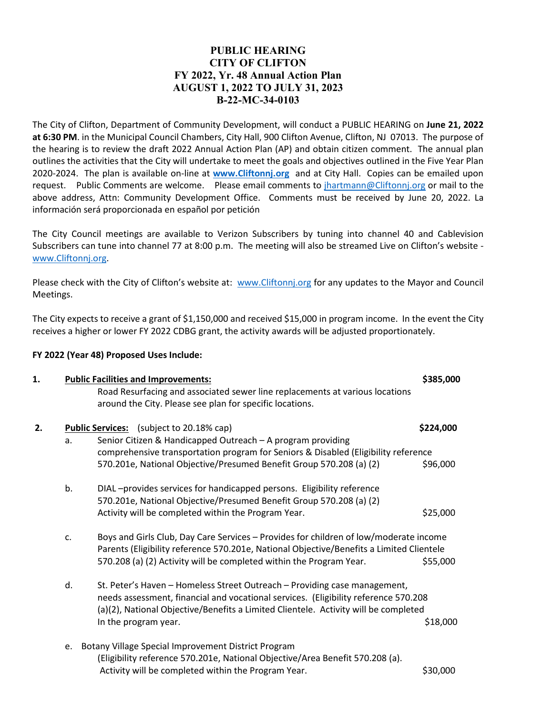## **PUBLIC HEARING CITY OF CLIFTON FY 2022, Yr. 48 Annual Action Plan AUGUST 1, 2022 TO JULY 31, 2023 B-22-MC-34-0103**

The City of Clifton, Department of Community Development, will conduct a PUBLIC HEARING on **June 21, 2022 at 6:30 PM**. in the Municipal Council Chambers, City Hall, 900 Clifton Avenue, Clifton, NJ 07013. The purpose of the hearing is to review the draft 2022 Annual Action Plan (AP) and obtain citizen comment. The annual plan outlines the activities that the City will undertake to meet the goals and objectives outlined in the Five Year Plan 2020-2024. The plan is available on-line at **[www.Cliftonnj.org](http://www.cliftonnj.org/)** and at City Hall. Copies can be emailed upon request. Public Comments are welcome. Please email comments to *jhartmann@Cliftonnj.org* or mail to the above address, Attn: Community Development Office. Comments must be received by June 20, 2022. La información será proporcionada en español por petición

The City Council meetings are available to Verizon Subscribers by tuning into channel 40 and Cablevision Subscribers can tune into channel 77 at 8:00 p.m. The meeting will also be streamed Live on Clifton's website [www.Cliftonnj.org.](http://www.cliftonnj.org/)

Please check with the City of Clifton's website at: [www.Cliftonnj.org](http://www.cliftonnj.org/) for any updates to the Mayor and Council Meetings.

The City expects to receive a grant of \$1,150,000 and received \$15,000 in program income. In the event the City receives a higher or lower FY 2022 CDBG grant, the activity awards will be adjusted proportionately.

## **FY 2022 (Year 48) Proposed Uses Include:**

| 1. | <b>Public Facilities and Improvements:</b> |                                                                                                                                                                                                                                                         | \$385,000 |
|----|--------------------------------------------|---------------------------------------------------------------------------------------------------------------------------------------------------------------------------------------------------------------------------------------------------------|-----------|
|    |                                            | Road Resurfacing and associated sewer line replacements at various locations                                                                                                                                                                            |           |
|    |                                            | around the City. Please see plan for specific locations.                                                                                                                                                                                                |           |
| 2. |                                            | <b>Public Services:</b> (subject to 20.18% cap)                                                                                                                                                                                                         | \$224,000 |
|    | a.                                         | Senior Citizen & Handicapped Outreach - A program providing                                                                                                                                                                                             |           |
|    |                                            | comprehensive transportation program for Seniors & Disabled (Eligibility reference                                                                                                                                                                      |           |
|    |                                            | 570.201e, National Objective/Presumed Benefit Group 570.208 (a) (2)                                                                                                                                                                                     | \$96,000  |
|    | b.                                         | DIAL-provides services for handicapped persons. Eligibility reference                                                                                                                                                                                   |           |
|    |                                            | 570.201e, National Objective/Presumed Benefit Group 570.208 (a) (2)                                                                                                                                                                                     |           |
|    |                                            | Activity will be completed within the Program Year.                                                                                                                                                                                                     | \$25,000  |
|    | c.                                         | Boys and Girls Club, Day Care Services - Provides for children of low/moderate income<br>Parents (Eligibility reference 570.201e, National Objective/Benefits a Limited Clientele                                                                       |           |
|    |                                            | 570.208 (a) (2) Activity will be completed within the Program Year.                                                                                                                                                                                     | \$55,000  |
|    | d.                                         | St. Peter's Haven - Homeless Street Outreach - Providing case management,<br>needs assessment, financial and vocational services. (Eligibility reference 570.208<br>(a)(2), National Objective/Benefits a Limited Clientele. Activity will be completed |           |
|    |                                            | In the program year.                                                                                                                                                                                                                                    | \$18,000  |
|    |                                            | e. Botany Village Special Improvement District Program                                                                                                                                                                                                  |           |
|    |                                            | (Eligibility reference 570.201e, National Objective/Area Benefit 570.208 (a).                                                                                                                                                                           |           |
|    |                                            | Activity will be completed within the Program Year.                                                                                                                                                                                                     | \$30,000  |